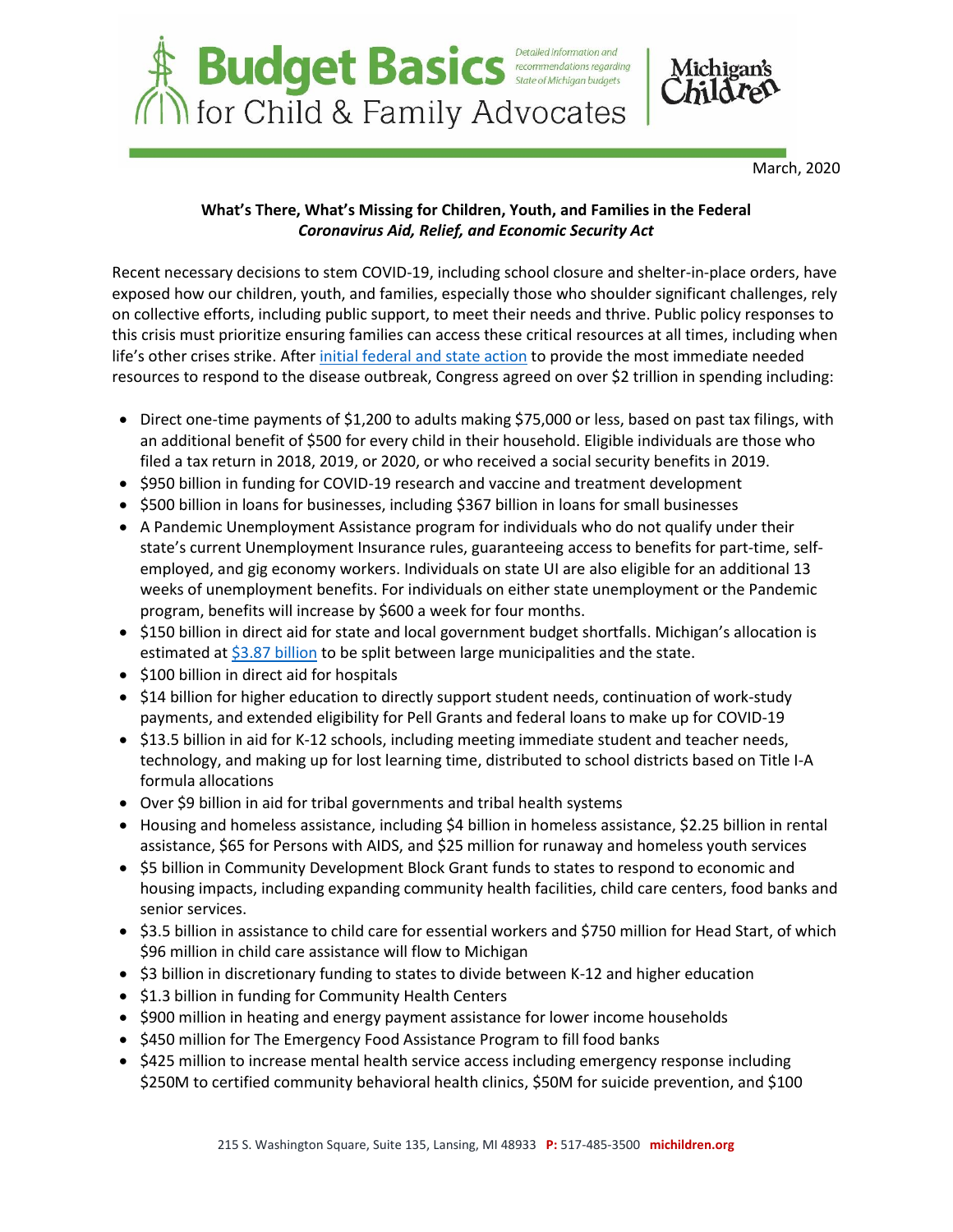

March, 2020

# **What's There, What's Missing for Children, Youth, and Families in the Federal**  *Coronavirus Aid, Relief, and Economic Security Act*

Recent necessary decisions to stem COVID-19, including school closure and shelter-in-place orders, have exposed how our children, youth, and families, especially those who shoulder significant challenges, rely on collective efforts, including public support, to meet their needs and thrive. Public policy responses to this crisis must prioritize ensuring families can access these critical resources at all times, including when life's other crises strike. After [initial federal and state action](https://www.michiganschildren.org/download/22191/) to provide the most immediate needed resources to respond to the disease outbreak, Congress agreed on over \$2 trillion in spending including:

- Direct one-time payments of \$1,200 to adults making \$75,000 or less, based on past tax filings, with an additional benefit of \$500 for every child in their household. Eligible individuals are those who filed a tax return in 2018, 2019, or 2020, or who received a social security benefits in 2019.
- \$950 billion in funding for COVID-19 research and vaccine and treatment development
- \$500 billion in loans for businesses, including \$367 billion in loans for small businesses
- A Pandemic Unemployment Assistance program for individuals who do not qualify under their state's current Unemployment Insurance rules, guaranteeing access to benefits for part-time, selfemployed, and gig economy workers. Individuals on state UI are also eligible for an additional 13 weeks of unemployment benefits. For individuals on either state unemployment or the Pandemic program, benefits will increase by \$600 a week for four months.
- \$150 billion in direct aid for state and local government budget shortfalls. Michigan's allocation is estimated at  $$3.87$  billion to be split between large municipalities and the state.
- $\bullet$  \$100 billion in direct aid for hospitals
- \$14 billion for higher education to directly support student needs, continuation of work-study payments, and extended eligibility for Pell Grants and federal loans to make up for COVID-19
- \$13.5 billion in aid for K-12 schools, including meeting immediate student and teacher needs, technology, and making up for lost learning time, distributed to school districts based on Title I-A formula allocations
- Over \$9 billion in aid for tribal governments and tribal health systems
- Housing and homeless assistance, including \$4 billion in homeless assistance, \$2.25 billion in rental assistance, \$65 for Persons with AIDS, and \$25 million for runaway and homeless youth services
- \$5 billion in Community Development Block Grant funds to states to respond to economic and housing impacts, including expanding community health facilities, child care centers, food banks and senior services.
- \$3.5 billion in assistance to child care for essential workers and \$750 million for Head Start, of which \$96 million in child care assistance will flow to Michigan
- \$3 billion in discretionary funding to states to divide between K-12 and higher education
- $\bullet$  \$1.3 billion in funding for Community Health Centers
- \$900 million in heating and energy payment assistance for lower income households
- \$450 million for The Emergency Food Assistance Program to fill food banks
- \$425 million to increase mental health service access including emergency response including \$250M to certified community behavioral health clinics, \$50M for suicide prevention, and \$100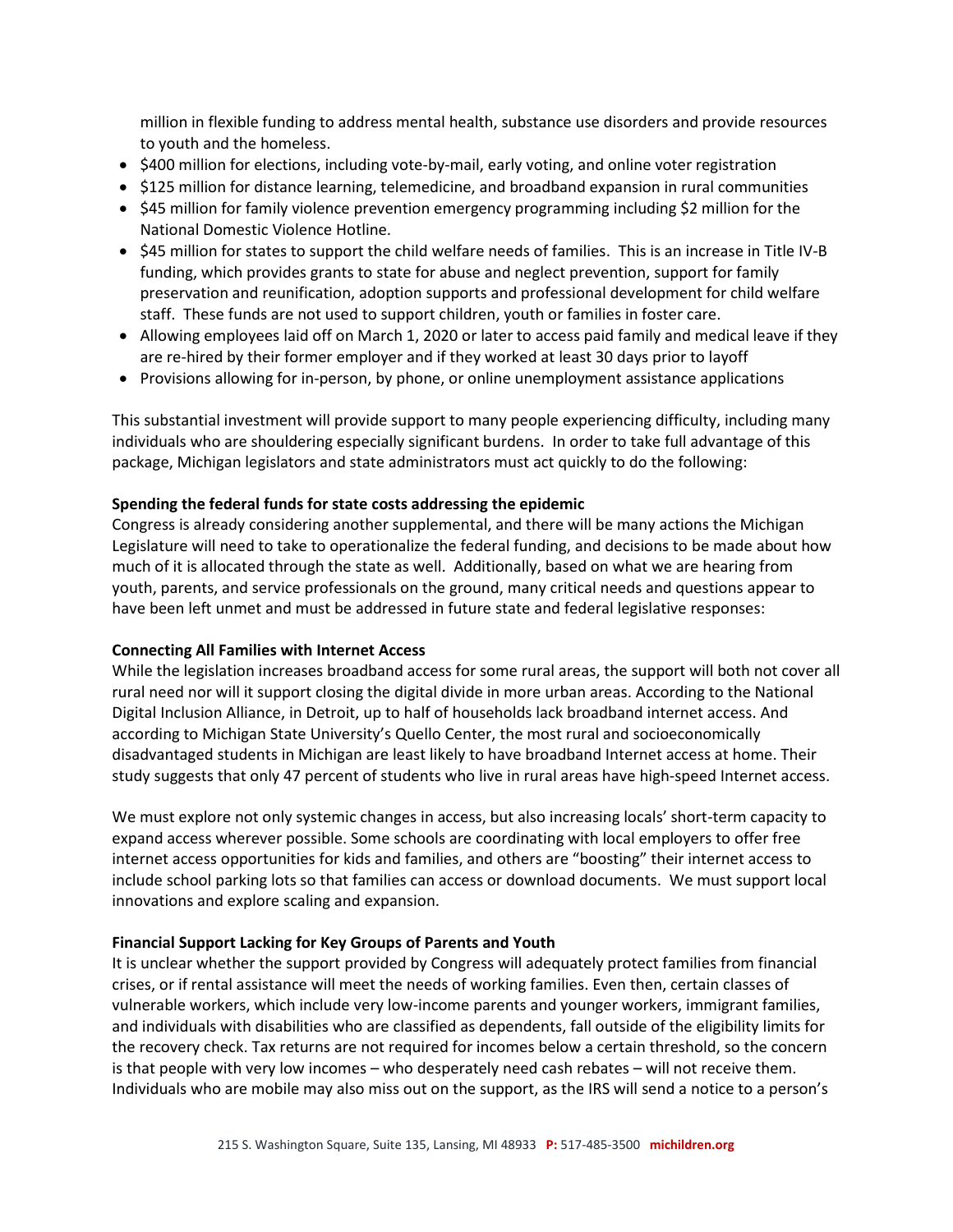million in flexible funding to address mental health, substance use disorders and provide resources to youth and the homeless.

- \$400 million for elections, including vote-by-mail, early voting, and online voter registration
- \$125 million for distance learning, telemedicine, and broadband expansion in rural communities
- \$45 million for family violence prevention emergency programming including \$2 million for the National Domestic Violence Hotline.
- \$45 million for states to support the child welfare needs of families. This is an increase in Title IV-B funding, which provides grants to state for abuse and neglect prevention, support for family preservation and reunification, adoption supports and professional development for child welfare staff. These funds are not used to support children, youth or families in foster care.
- Allowing employees laid off on March 1, 2020 or later to access paid family and medical leave if they are re-hired by their former employer and if they worked at least 30 days prior to layoff
- Provisions allowing for in-person, by phone, or online unemployment assistance applications

This substantial investment will provide support to many people experiencing difficulty, including many individuals who are shouldering especially significant burdens. In order to take full advantage of this package, Michigan legislators and state administrators must act quickly to do the following:

## **Spending the federal funds for state costs addressing the epidemic**

Congress is already considering another supplemental, and there will be many actions the Michigan Legislature will need to take to operationalize the federal funding, and decisions to be made about how much of it is allocated through the state as well. Additionally, based on what we are hearing from youth, parents, and service professionals on the ground, many critical needs and questions appear to have been left unmet and must be addressed in future state and federal legislative responses:

## **Connecting All Families with Internet Access**

While the legislation increases broadband access for some rural areas, the support will both not cover all rural need nor will it support closing the digital divide in more urban areas. According to the National Digital Inclusion Alliance, in Detroit, up to half of households lack broadband internet access. And according to Michigan State University's Quello Center, the most rural and socioeconomically disadvantaged students in Michigan are least likely to have broadband Internet access at home. Their study suggests that only 47 percent of students who live in rural areas have high-speed Internet access.

We must explore not only systemic changes in access, but also increasing locals' short-term capacity to expand access wherever possible. Some schools are coordinating with local employers to offer free internet access opportunities for kids and families, and others are "boosting" their internet access to include school parking lots so that families can access or download documents. We must support local innovations and explore scaling and expansion.

## **Financial Support Lacking for Key Groups of Parents and Youth**

It is unclear whether the support provided by Congress will adequately protect families from financial crises, or if rental assistance will meet the needs of working families. Even then, certain classes of vulnerable workers, which include very low-income parents and younger workers, immigrant families, and individuals with disabilities who are classified as dependents, fall outside of the eligibility limits for the recovery check. Tax returns are not required for incomes below a certain threshold, so the concern is that people with very low incomes – who desperately need cash rebates – will not receive them. Individuals who are mobile may also miss out on the support, as the IRS will send a notice to a person's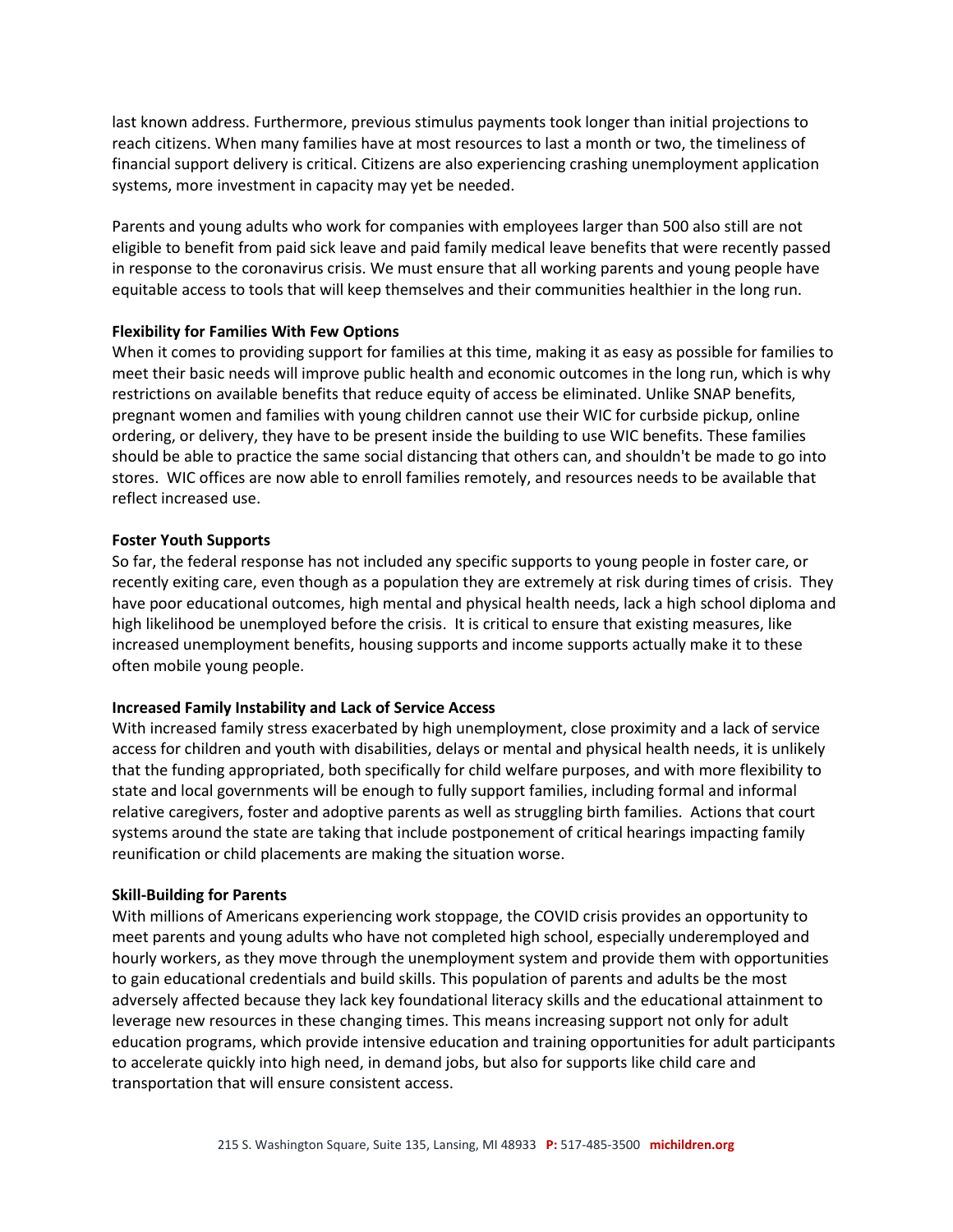last known address. Furthermore, previous stimulus payments took longer than initial projections to reach citizens. When many families have at most resources to last a month or two, the timeliness of financial support delivery is critical. Citizens are also experiencing crashing unemployment application systems, more investment in capacity may yet be needed.

Parents and young adults who work for companies with employees larger than 500 also still are not eligible to benefit from paid sick leave and paid family medical leave benefits that were recently passed in response to the coronavirus crisis. We must ensure that all working parents and young people have equitable access to tools that will keep themselves and their communities healthier in the long run.

## **Flexibility for Families With Few Options**

When it comes to providing support for families at this time, making it as easy as possible for families to meet their basic needs will improve public health and economic outcomes in the long run, which is why restrictions on available benefits that reduce equity of access be eliminated. Unlike SNAP benefits, pregnant women and families with young children cannot use their WIC for curbside pickup, online ordering, or delivery, they have to be present inside the building to use WIC benefits. These families should be able to practice the same social distancing that others can, and shouldn't be made to go into stores. WIC offices are now able to enroll families remotely, and resources needs to be available that reflect increased use.

## **Foster Youth Supports**

So far, the federal response has not included any specific supports to young people in foster care, or recently exiting care, even though as a population they are extremely at risk during times of crisis. They have poor educational outcomes, high mental and physical health needs, lack a high school diploma and high likelihood be unemployed before the crisis. It is critical to ensure that existing measures, like increased unemployment benefits, housing supports and income supports actually make it to these often mobile young people.

# **Increased Family Instability and Lack of Service Access**

With increased family stress exacerbated by high unemployment, close proximity and a lack of service access for children and youth with disabilities, delays or mental and physical health needs, it is unlikely that the funding appropriated, both specifically for child welfare purposes, and with more flexibility to state and local governments will be enough to fully support families, including formal and informal relative caregivers, foster and adoptive parents as well as struggling birth families. Actions that court systems around the state are taking that include postponement of critical hearings impacting family reunification or child placements are making the situation worse.

# **Skill-Building for Parents**

With millions of Americans experiencing work stoppage, the COVID crisis provides an opportunity to meet parents and young adults who have not completed high school, especially underemployed and hourly workers, as they move through the unemployment system and provide them with opportunities to gain educational credentials and build skills. This population of parents and adults be the most adversely affected because they lack key foundational literacy skills and the educational attainment to leverage new resources in these changing times. This means increasing support not only for adult education programs, which provide intensive education and training opportunities for adult participants to accelerate quickly into high need, in demand jobs, but also for supports like child care and transportation that will ensure consistent access.